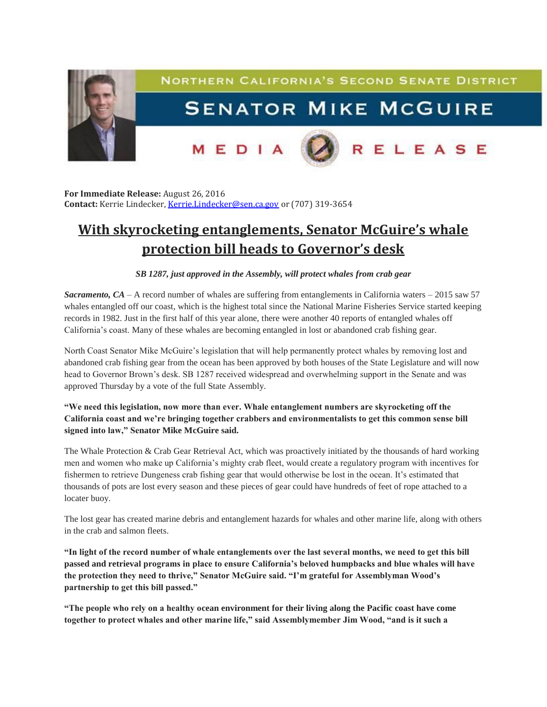

**For Immediate Release:** August 26, 2016 **Contact:** Kerrie Lindecker, [Kerrie.Lindecker@sen.ca.gov](mailto:Kerrie.Lindecker@sen.ca.gov) or (707) 319-3654

## **With skyrocketing entanglements, Senator McGuire's whale protection bill heads to Governor's desk**

## *SB 1287, just approved in the Assembly, will protect whales from crab gear*

*Sacramento, CA* – A record number of whales are suffering from entanglements in California waters – 2015 saw 57 whales entangled off our coast, which is the highest total since the National Marine Fisheries Service started keeping records in 1982. Just in the first half of this year alone, there were another 40 reports of entangled whales off California's coast. Many of these whales are becoming entangled in lost or abandoned crab fishing gear.

North Coast Senator Mike McGuire's legislation that will help permanently protect whales by removing lost and abandoned crab fishing gear from the ocean has been approved by both houses of the State Legislature and will now head to Governor Brown's desk. SB 1287 received widespread and overwhelming support in the Senate and was approved Thursday by a vote of the full State Assembly.

## **"We need this legislation, now more than ever. Whale entanglement numbers are skyrocketing off the California coast and we're bringing together crabbers and environmentalists to get this common sense bill signed into law," Senator Mike McGuire said.**

The Whale Protection & Crab Gear Retrieval Act, which was proactively initiated by the thousands of hard working men and women who make up California's mighty crab fleet, would create a regulatory program with incentives for fishermen to retrieve Dungeness crab fishing gear that would otherwise be lost in the ocean. It's estimated that thousands of pots are lost every season and these pieces of gear could have hundreds of feet of rope attached to a locater buoy.

The lost gear has created marine debris and entanglement hazards for whales and other marine life, along with others in the crab and salmon fleets.

**"In light of the record number of whale entanglements over the last several months, we need to get this bill passed and retrieval programs in place to ensure California's beloved humpbacks and blue whales will have the protection they need to thrive," Senator McGuire said. "I'm grateful for Assemblyman Wood's partnership to get this bill passed."**

**"The people who rely on a healthy ocean environment for their living along the Pacific coast have come together to protect whales and other marine life," said Assemblymember Jim Wood, "and is it such a**